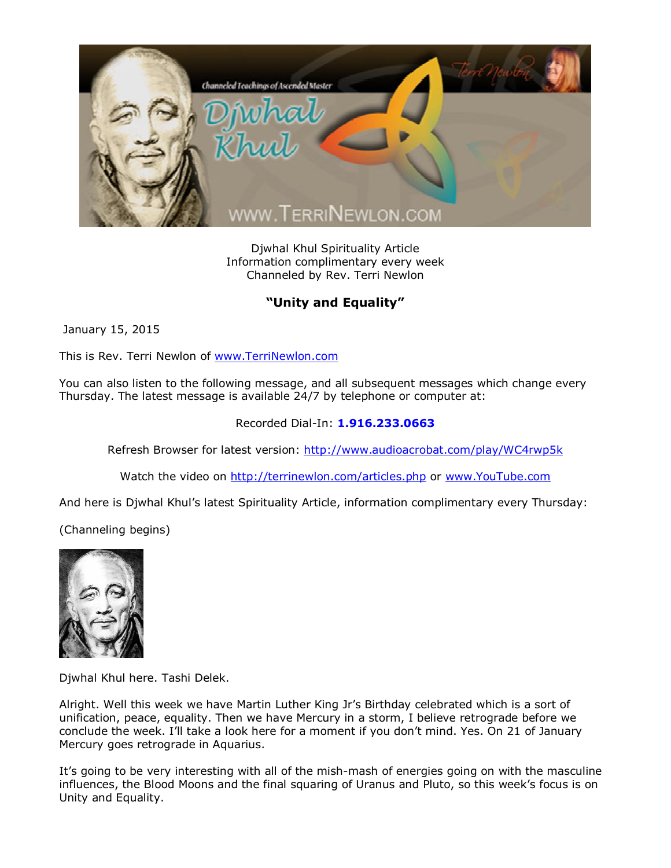

Djwhal Khul Spirituality Article Information complimentary every week Channeled by Rev. Terri Newlon

## **"Unity and Equality"**

January 15, 2015

This is Rev. Terri Newlon of [www.TerriNewlon.com](http://www.terrinewlon.com/)

You can also listen to the following message, and all subsequent messages which change every Thursday. The latest message is available 24/7 by telephone or computer at:

## Recorded Dial-In: **1.916.233.0663**

Refresh Browser for latest version: <http://www.audioacrobat.com/play/WC4rwp5k>

Watch the video on <http://terrinewlon.com/articles.php> or [www.YouTube.com](http://www.youtube.com/)

And here is Djwhal Khul's latest Spirituality Article, information complimentary every Thursday:

(Channeling begins)



Djwhal Khul here. Tashi Delek.

Alright. Well this week we have Martin Luther King Jr's Birthday celebrated which is a sort of unification, peace, equality. Then we have Mercury in a storm, I believe retrograde before we conclude the week. I'll take a look here for a moment if you don't mind. Yes. On 21 of January Mercury goes retrograde in Aquarius.

It's going to be very interesting with all of the mish-mash of energies going on with the masculine influences, the Blood Moons and the final squaring of Uranus and Pluto, so this week's focus is on Unity and Equality.